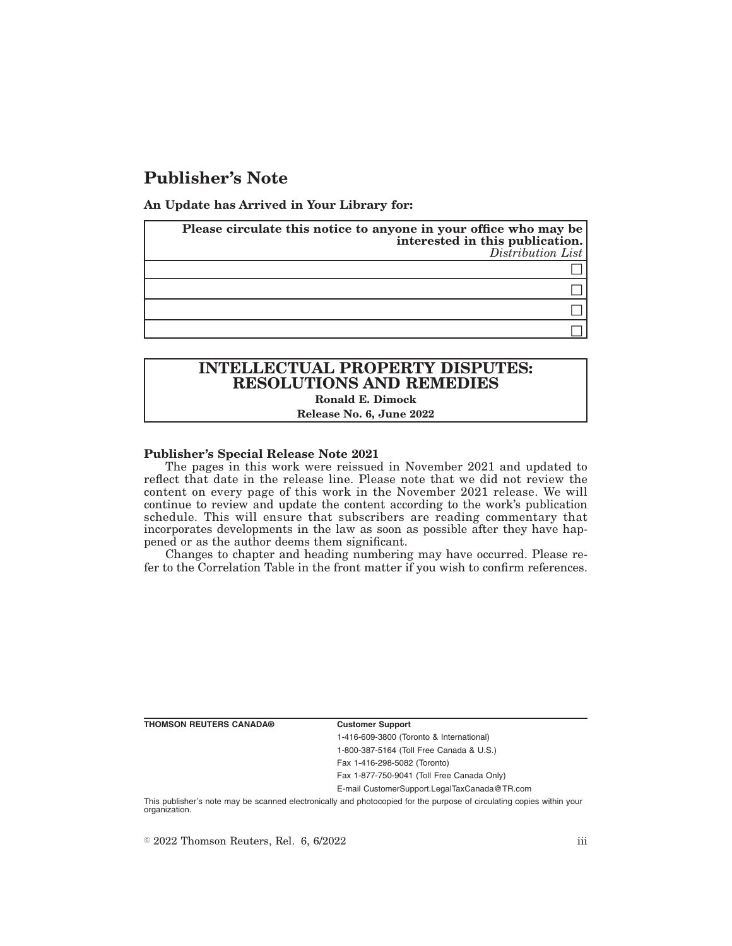# **Publisher's Note**

**An Update has Arrived in Your Library for:**

| Please circulate this notice to anyone in your office who may be<br>interested in this publication.<br>Distribution List |
|--------------------------------------------------------------------------------------------------------------------------|
|                                                                                                                          |
|                                                                                                                          |
|                                                                                                                          |
|                                                                                                                          |

# **INTELLECTUAL PROPERTY DISPUTES: RESOLUTIONS AND REMEDIES Ronald E. Dimock**

#### **Release No. 6, June 2022**

### **Publisher's Special Release Note 2021**

The pages in this work were reissued in November 2021 and updated to reflect that date in the release line. Please note that we did not review the content on every page of this work in the November 2021 release. We will continue to review and update the content according to the work's publication schedule. This will ensure that subscribers are reading commentary that incorporates developments in the law as soon as possible after they have happened or as the author deems them significant.

Changes to chapter and heading numbering may have occurred. Please refer to the Correlation Table in the front matter if you wish to confirm references.

**THOMSON REUTERS CANADA® Customer Support**

1-416-609-3800 (Toronto & International) 1-800-387-5164 (Toll Free Canada & U.S.)

Fax 1-416-298-5082 (Toronto) Fax 1-877-750-9041 (Toll Free Canada Only)

E-mail CustomerSupport.LegalTaxCanada@TR.com

This publisher's note may be scanned electronically and photocopied for the purpose of circulating copies within your organization.

 $\degree$  2022 Thomson Reuters, Rel. 6, 6/2022 iii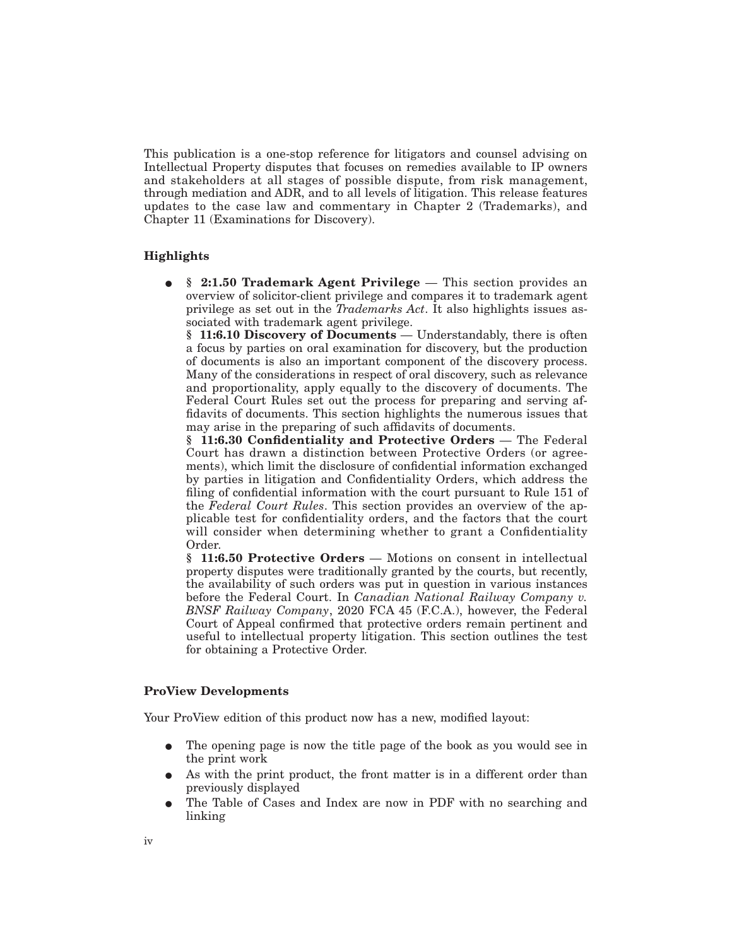This publication is a one-stop reference for litigators and counsel advising on Intellectual Property disputes that focuses on remedies available to IP owners and stakeholders at all stages of possible dispute, from risk management, through mediation and ADR, and to all levels of litigation. This release features updates to the case law and commentary in Chapter 2 (Trademarks), and Chapter 11 (Examinations for Discovery).

# **Highlights**

E **§ 2:1.50 Trademark Agent Privilege** — This section provides an overview of solicitor-client privilege and compares it to trademark agent privilege as set out in the *Trademarks Act*. It also highlights issues associated with trademark agent privilege.

**§ 11:6.10 Discovery of Documents** — Understandably, there is often a focus by parties on oral examination for discovery, but the production of documents is also an important component of the discovery process. Many of the considerations in respect of oral discovery, such as relevance and proportionality, apply equally to the discovery of documents. The Federal Court Rules set out the process for preparing and serving affidavits of documents. This section highlights the numerous issues that may arise in the preparing of such affidavits of documents.

**§ 11:6.30 Confidentiality and Protective Orders** — The Federal Court has drawn a distinction between Protective Orders (or agreements), which limit the disclosure of confidential information exchanged by parties in litigation and Confidentiality Orders, which address the filing of confidential information with the court pursuant to Rule 151 of the *Federal Court Rules*. This section provides an overview of the applicable test for confidentiality orders, and the factors that the court will consider when determining whether to grant a Confidentiality Order.

**§ 11:6.50 Protective Orders** — Motions on consent in intellectual property disputes were traditionally granted by the courts, but recently, the availability of such orders was put in question in various instances before the Federal Court. In *Canadian National Railway Company v. BNSF Railway Company*, 2020 FCA 45 (F.C.A.), however, the Federal Court of Appeal confirmed that protective orders remain pertinent and useful to intellectual property litigation. This section outlines the test for obtaining a Protective Order.

# **ProView Developments**

Your ProView edition of this product now has a new, modified layout:

- The opening page is now the title page of the book as you would see in the print work
- As with the print product, the front matter is in a different order than previously displayed
- E The Table of Cases and Index are now in PDF with no searching and linking